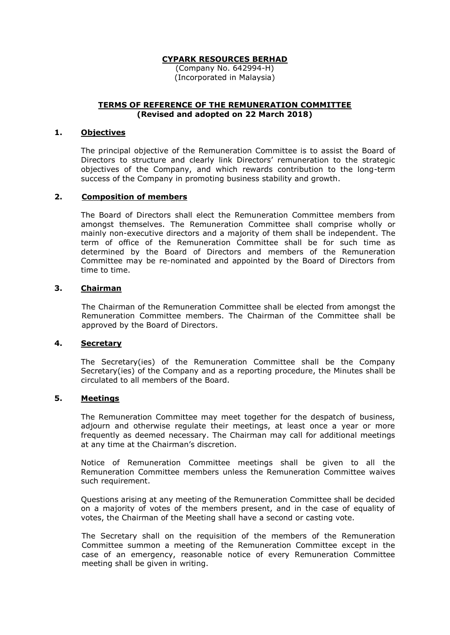## **CYPARK RESOURCES BERHAD**

(Company No. 642994-H) (Incorporated in Malaysia)

## **TERMS OF REFERENCE OF THE REMUNERATION COMMITTEE (Revised and adopted on 22 March 2018)**

#### **1. Objectives**

The principal objective of the Remuneration Committee is to assist the Board of Directors to structure and clearly link Directors' remuneration to the strategic objectives of the Company, and which rewards contribution to the long-term success of the Company in promoting business stability and growth.

### **2. Composition of members**

The Board of Directors shall elect the Remuneration Committee members from amongst themselves. The Remuneration Committee shall comprise wholly or mainly non-executive directors and a majority of them shall be independent. The term of office of the Remuneration Committee shall be for such time as determined by the Board of Directors and members of the Remuneration Committee may be re-nominated and appointed by the Board of Directors from time to time.

### **3. Chairman**

The Chairman of the Remuneration Committee shall be elected from amongst the Remuneration Committee members. The Chairman of the Committee shall be approved by the Board of Directors.

## **4. Secretary**

The Secretary(ies) of the Remuneration Committee shall be the Company Secretary(ies) of the Company and as a reporting procedure, the Minutes shall be circulated to all members of the Board.

### **5. Meetings**

The Remuneration Committee may meet together for the despatch of business, adjourn and otherwise regulate their meetings, at least once a year or more frequently as deemed necessary. The Chairman may call for additional meetings at any time at the Chairman's discretion.

Notice of Remuneration Committee meetings shall be given to all the Remuneration Committee members unless the Remuneration Committee waives such requirement.

Questions arising at any meeting of the Remuneration Committee shall be decided on a majority of votes of the members present, and in the case of equality of votes, the Chairman of the Meeting shall have a second or casting vote.

The Secretary shall on the requisition of the members of the Remuneration Committee summon a meeting of the Remuneration Committee except in the case of an emergency, reasonable notice of every Remuneration Committee meeting shall be given in writing.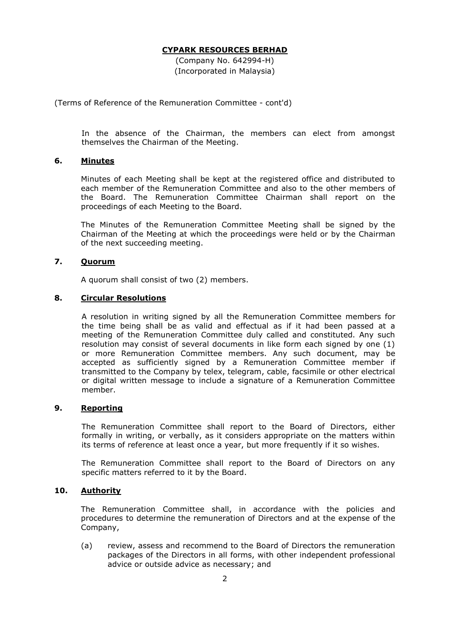## **CYPARK RESOURCES BERHAD**

(Company No. 642994-H) (Incorporated in Malaysia)

(Terms of Reference of the Remuneration Committee - cont'd)

In the absence of the Chairman, the members can elect from amongst themselves the Chairman of the Meeting.

# **6. Minutes**

Minutes of each Meeting shall be kept at the registered office and distributed to each member of the Remuneration Committee and also to the other members of the Board. The Remuneration Committee Chairman shall report on the proceedings of each Meeting to the Board.

The Minutes of the Remuneration Committee Meeting shall be signed by the Chairman of the Meeting at which the proceedings were held or by the Chairman of the next succeeding meeting.

### **7. Quorum**

A quorum shall consist of two (2) members.

#### **8. Circular Resolutions**

A resolution in writing signed by all the Remuneration Committee members for the time being shall be as valid and effectual as if it had been passed at a meeting of the Remuneration Committee duly called and constituted. Any such resolution may consist of several documents in like form each signed by one (1) or more Remuneration Committee members. Any such document, may be accepted as sufficiently signed by a Remuneration Committee member if transmitted to the Company by telex, telegram, cable, facsimile or other electrical or digital written message to include a signature of a Remuneration Committee member.

## **9. Reporting**

The Remuneration Committee shall report to the Board of Directors, either formally in writing, or verbally, as it considers appropriate on the matters within its terms of reference at least once a year, but more frequently if it so wishes.

The Remuneration Committee shall report to the Board of Directors on any specific matters referred to it by the Board.

## **10. Authority**

The Remuneration Committee shall, in accordance with the policies and procedures to determine the remuneration of Directors and at the expense of the Company,

(a) review, assess and recommend to the Board of Directors the remuneration packages of the Directors in all forms, with other independent professional advice or outside advice as necessary; and